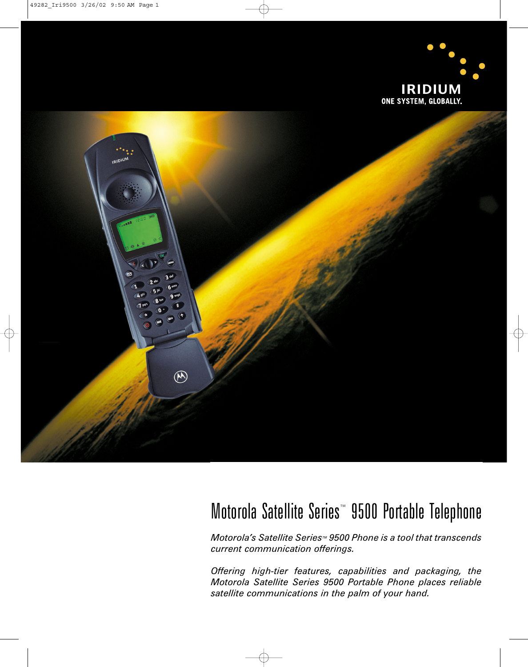

# Motorola Satellite Series™ 9500 Portable Telephone

*Motorola's Satellite Series<sup>™</sup> 9500 Phone is a tool that transcends current communication offerings.*

*Offering high-tier features, capabilities and packaging, the Motorola Satellite Series 9500 Portable Phone places reliable satellite communications in the palm of your hand.*